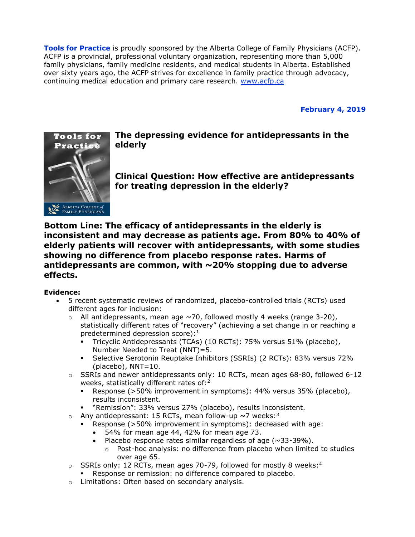**Tools for Practice** is proudly sponsored by the Alberta College of Family Physicians (ACFP). ACFP is a provincial, professional voluntary organization, representing more than 5,000 family physicians, family medicine residents, and medical students in Alberta. Established over sixty years ago, the ACFP strives for excellence in family practice through advocacy, continuing medical education and primary care research. [www.acfp.ca](http://r20.rs6.net/tn.jsp?llr=j5jhyecab&et=1106581339886&s=0&e=0018HsPjNJAVitI8Ray9i14VUEPh8QgRLpopT1hs0e5ZuwGPqGnH9-N6tL_UP5LTij9cP43lHBva_IRi6MMeFppG6SamR3ro1dGo2mwyQcV95k=)

**February 4, 2019**



**The depressing evidence for antidepressants in the elderly**

**Clinical Question: How effective are antidepressants for treating depression in the elderly?**

**Bottom Line: The efficacy of antidepressants in the elderly is inconsistent and may decrease as patients age. From 80% to 40% of elderly patients will recover with antidepressants, with some studies showing no difference from placebo response rates. Harms of antidepressants are common, with ~20% stopping due to adverse effects.**

# **Evidence:**

- 5 recent systematic reviews of randomized, placebo-controlled trials (RCTs) used different ages for inclusion:
	- $\circ$  All antidepressants, mean age  $\sim$  70, followed mostly 4 weeks (range 3-20), statistically different rates of "recovery" (achieving a set change in or reaching a predetermined depression score): $1$ 
		- Tricyclic Antidepressants (TCAs) (10 RCTs): 75% versus 51% (placebo), Number Needed to Treat (NNT)=5.
		- Selective Serotonin Reuptake Inhibitors (SSRIs) (2 RCTs): 83% versus 72% (placebo), NNT=10.
	- $\circ$  SSRIs and newer antidepressants only: 10 RCTs, mean ages 68-80, followed 6-12 weeks, statistically different rates of: $2$ 
		- Response (>50% improvement in symptoms): 44% versus 35% (placebo), results inconsistent.
		- "Remission": 33% versus 27% (placebo), results inconsistent.
	- $\circ$  Any antidepressant: 15 RCTs, mean follow-up  $\sim$ 7 weeks:<sup>3</sup>
		- Response (>50% improvement in symptoms): decreased with age:
			- 54% for mean age 44, 42% for mean age 73.
			- Placebo response rates similar regardless of age ( $\sim$ 33-39%).
				- $\circ$  Post-hoc analysis: no difference from placebo when limited to studies over age 65.
	- $\circ$  SSRIs only: 12 RCTs, mean ages 70-79, followed for mostly 8 weeks:<sup>4</sup>
		- Response or remission: no difference compared to placebo.
	- o Limitations: Often based on secondary analysis.